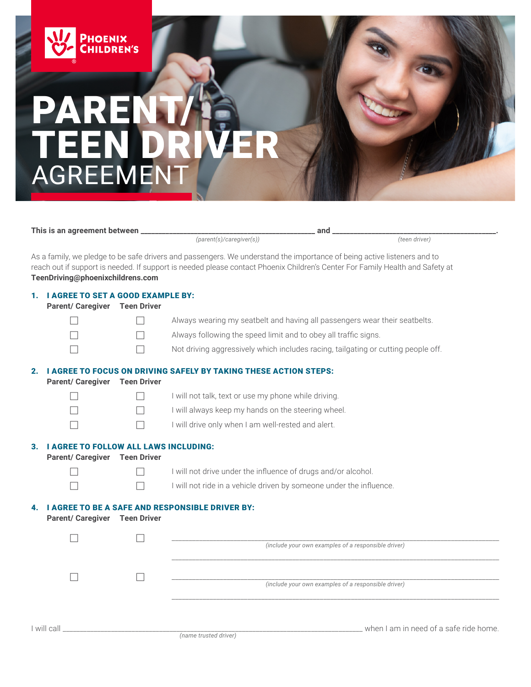

## PAR TEEN DRIVER AGREEMENT

**This is an agreement between \_\_\_\_\_\_\_\_\_\_\_\_\_\_\_\_\_\_\_\_\_\_\_\_\_\_\_\_\_\_\_\_\_\_\_\_\_\_\_\_\_\_\_\_\_\_\_\_\_ and \_\_\_\_\_\_\_\_\_\_\_\_\_\_\_\_\_\_\_\_\_\_\_\_\_\_\_\_\_\_\_\_\_\_\_\_\_\_\_\_\_\_\_\_\_\_.**

 $\overline{(parent(s)/caregiver(s))}$ 

As a family, we pledge to be safe drivers and passengers. We understand the importance of being active listeners and to reach out if support is needed. If support is needed please contact Phoenix Children's Center For Family Health and Safety at **TeenDriving@phoenixchildrens.com**

| 1. | <b>I AGREE TO SET A GOOD EXAMPLE BY:</b><br><b>Parent/ Caregiver</b><br><b>Teen Driver</b> |                    |                                                                                   |
|----|--------------------------------------------------------------------------------------------|--------------------|-----------------------------------------------------------------------------------|
|    |                                                                                            |                    | Always wearing my seatbelt and having all passengers wear their seatbelts.        |
|    |                                                                                            |                    | Always following the speed limit and to obey all traffic signs.                   |
|    |                                                                                            |                    | Not driving aggressively which includes racing, tailgating or cutting people off. |
| 2. |                                                                                            |                    | <b>I AGREE TO FOCUS ON DRIVING SAFELY BY TAKING THESE ACTION STEPS:</b>           |
|    | <b>Parent/ Caregiver</b>                                                                   | <b>Teen Driver</b> |                                                                                   |
|    |                                                                                            |                    | I will not talk, text or use my phone while driving.                              |
|    |                                                                                            |                    | I will always keep my hands on the steering wheel.                                |
|    |                                                                                            |                    | I will drive only when I am well-rested and alert.                                |
| 3. | <b>I AGREE TO FOLLOW ALL LAWS INCLUDING:</b><br><b>Parent/ Caregiver</b>                   | <b>Teen Driver</b> |                                                                                   |
|    |                                                                                            |                    | I will not drive under the influence of drugs and/or alcohol.                     |
|    |                                                                                            |                    | I will not ride in a vehicle driven by someone under the influence.               |
|    | <b>Parent/ Caregiver</b>                                                                   | <b>Teen Driver</b> | <b>GREE TO BE A SAFE AND RESPONSIBLE DRIVER BY:</b>                               |
|    |                                                                                            |                    |                                                                                   |
|    |                                                                                            |                    | (include your own examples of a responsible driver)                               |
|    |                                                                                            |                    |                                                                                   |
|    |                                                                                            |                    | (include your own examples of a responsible driver)                               |
|    |                                                                                            |                    |                                                                                   |
|    | I will call                                                                                |                    | when I am in need of a safe ride home.<br>(name trusted driver)                   |